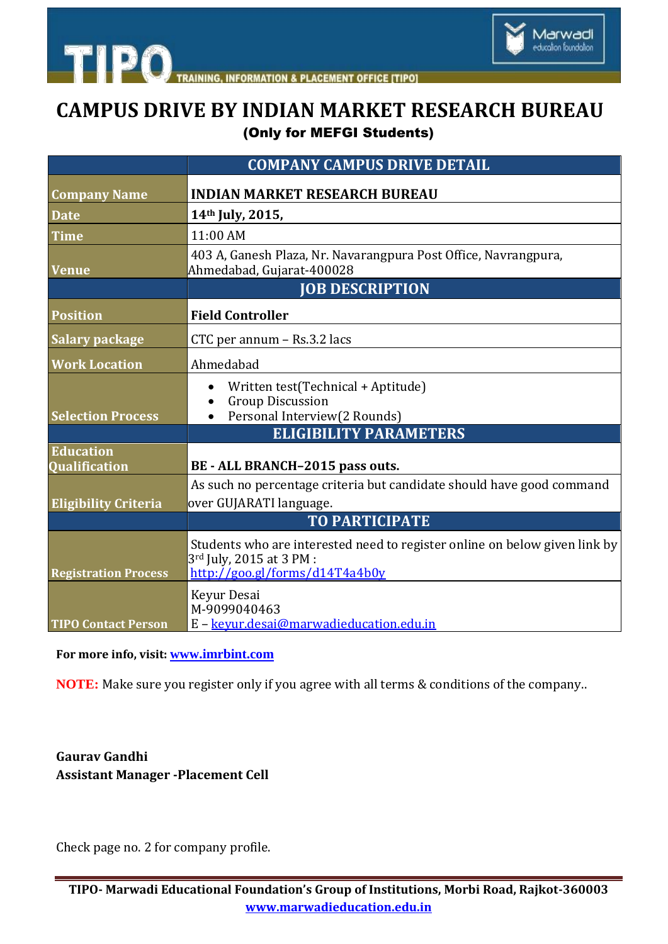

**INFORMATION & PLACEMENT OFFICE [TIPO]** 

# **CAMPUS DRIVE BY INDIAN MARKET RESEARCH BUREAU** (Only for MEFGI Students)

|                                          | <b>COMPANY CAMPUS DRIVE DETAIL</b>                                                                                                                   |
|------------------------------------------|------------------------------------------------------------------------------------------------------------------------------------------------------|
| <b>Company Name</b>                      | <b>INDIAN MARKET RESEARCH BUREAU</b>                                                                                                                 |
| <b>Date</b>                              | 14th July, 2015,                                                                                                                                     |
| <b>Time</b>                              | 11:00 AM                                                                                                                                             |
| <b>Venue</b>                             | 403 A, Ganesh Plaza, Nr. Navarangpura Post Office, Navrangpura,<br>Ahmedabad, Gujarat-400028                                                         |
|                                          | <b>JOB DESCRIPTION</b>                                                                                                                               |
| <b>Position</b>                          | <b>Field Controller</b>                                                                                                                              |
| <b>Salary package</b>                    | CTC per annum – Rs.3.2 lacs                                                                                                                          |
| <b>Work Location</b>                     | Ahmedabad                                                                                                                                            |
| <b>Selection Process</b>                 | Written test(Technical + Aptitude)<br><b>Group Discussion</b><br>Personal Interview(2 Rounds)                                                        |
|                                          | <b>ELIGIBILITY PARAMETERS</b>                                                                                                                        |
| <b>Education</b><br><b>Oualification</b> | BE - ALL BRANCH-2015 pass outs.                                                                                                                      |
| <b>Eligibility Criteria</b>              | As such no percentage criteria but candidate should have good command<br>over GUJARATI language.                                                     |
|                                          | <b>TO PARTICIPATE</b>                                                                                                                                |
| <b>Registration Process</b>              | Students who are interested need to register online on below given link by<br>3 <sup>rd</sup> July, 2015 at 3 PM :<br>http://goo.gl/forms/d14T4a4b0y |
| <b>TIPO Contact Person</b>               | Keyur Desai<br>M-9099040463<br>E - kevur.desai@marwadieducation.edu.in                                                                               |

**For more info, visit: [www.imrbint.com](file:///C:\Users\Marwadi\Desktop\CAMPUS%20NOTICES\www.imrbint.com)**

**TIPO** 

**NOTE:** Make sure you register only if you agree with all terms & conditions of the company..

#### **Gaurav Gandhi Assistant Manager -Placement Cell**

Check page no. 2 for company profile.